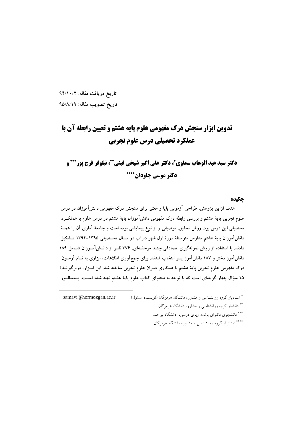تاریخ دریافت مقاله: ۹۴/۱۰/۲ تاريخ تصويب مقاله: ٩٥/٨/١٩

# تدوین ابزار سنجش درک مفهومی علوم پایه هشتم و تعیین رابطه آن با عملکرد تحصیلی درس علوم تجربی

# دكتر سيد عبد الوهاب سماوي\*، دكتر على اكبر شيخي فيني\*\*، نيلوفر فرج يور\*\*\* و دکتر موسی جاودان\*\*\*\*

#### حكىدە

هدف ازاین پژوهش، طراحی آزمونی پایا و معتبر برای سنجش درک مفهومی دانشآموزان در درس علوم تجربی پایهٔ هشتم و بررسی رابطهٔ درک مفهومی دانشآموزان پایهٔ هشتم در درس علوم با عملکــرد تحصیلی این درس بود. روش تحقیق، توصیفی و از نوع پیمایشی بوده است و جامعهٔ آماری آن را همــهٔ دانش آموزان پایهٔ هشتم مدارس متوسطهٔ دورهٔ اول شهر داراب در سـال تحــصیلم ۱۳۹۵–۱۳۹۴ تــشکیل دادند. با استفاده از روش نمونهگیری تصادفی چنــد مرحلــهای، ۳۷۶ نفـر از دانــش آمــوزان شــامل ۱۸۹ دانشآموز دختر و ۱۸۷ دانشآموز پسر انتخاب شدند. برای جمعآوری اطلاعات، ابزاری به نــام آزمــون درک مفهومی علوم تجربی پایهٔ هشتم با همکاری دبیران علوم تجربی ساخته شد. این ابـزار، دربرگیرنــدهٔ ۱۵ سؤال چهار گزینهای است که با توجه به محتوای کتاب علوم پایهٔ هشتم تهیه شده اســت. بــهمنظــور

\* استادیار گروه روانشناسی و مشاوره دانشگاه هرمزگان (نویسنده مسئول) samavi@hormozgan.ac.ir \*\* دانشیار گروه روانشناسی و مشاوره دانشگاه هرمزگان \*\*\* دانشجوی دکترای برنامه ریزی درسی، دانشگاه بیرجند \*\*\*\* استادیار گروه روانشناسی و مشاوره دانشگاه هرمزگان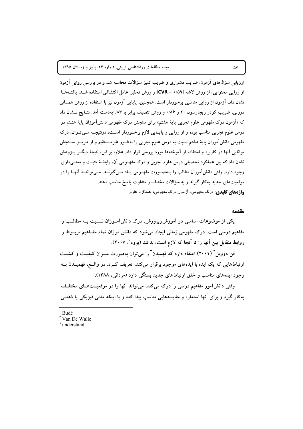ارزیابی سؤالهای آزمون، ضریب دشواری و ضریب تمیز سؤالات محاسبه شد و در بررسی روایی آزمون از روایی محتوایی، از روش لاشه (۰/۵۹ = CVR) و روش تحلیل عامل اکتشافی استفاده شـد. یافتـههـا نشان داد، آزمون از روایی مناسبی برخوردار است. همچنین، پایایی آزمون نیز با استفاده از روش همسانی درونی، ضریب کودر ریچارسون ۲۰ و ۱/۸۶ و روش تنصیف برابر با ۸۳/۰ بهدست آمد. نتـایج نــشان داد که «اَزمون درک مفهومی علوم تجربی پایهٔ هشتم» برای سنجش درک مفهومی دانش[موزان پایهٔ هشتم در درس علوم تجربی مناسب بوده و از روایی و پایایی لازم برخـوردار اسـت؛ درنتیجـه مـیتـوان، درک مفهومی دانشآموزان پایهٔ هشتم نسبت به درس علوم تجربی را بهطـور غیرمــستقیم و از طریــق ســنجش توانایی آنها در کاربرد و استفاده از آموختهها مورد بررسی قرار داد. علاوه بر این، نتیجهٔ دیگــر پــژوهش نشان داد که بین عملکرد تحصیلی درس علوم تجربی و درک مفهـومی آن، رابطـهٔ مثبـت و معنــیداری وجود دارد. وقتی دانش آموزان مطالب را بـهصـورت مفهـومی پــاد مــی گیرنــد، مــی تواننــد آنهــا را در موقعیتهای جدید بهکار گیرند و به سؤالات مختلف و متفاوت یاسخ مناسب دهند. واژههای کلیدی: درک مفهومی، آزمون درک مفهومی، عملکرد علوم

#### مقدمه

یکی از موضوعات اساسی در آموزش ویرورش، درک دانش آمــوزان نـــسبت بــه مطالـــب و مفاهیم درسی است. درک مفهومی زمانی ایجاد میشود که دانش اَموزان تمام مفــاهیم مربــوط و روابط متقابل بين أنها را تا أنجا كه لازم است، بدانند (بوود '، ٢٠٠٧).

فن دوویل (۲۰۰۱) اعتقاد دارد که فهمیدن ؓ را می توان بهصورت میــزان کیفیــت و کمّیــت ارتباطهایی که یک ایده با ایدههای موجود برقرار میکند، تعریف کـرد. در واقـع، فهمیــدن بــه وجود ایدههای مناسب و خلق ارتباطهای جدید بستگی دارد (مردانی، ۱۳۸۸).

وقتی دانشآموز مفاهیم درسی را درک میکند، می تواند آنها را در موقعیــتهــای مختلــف به کار گیرد و برای آنها استعاره و مقایسههایی مناسب پیدا کند و یا اینکه مدلی فیزیکی یا ذهنــی

- **Budé**
- <sup>2</sup> Van De Walle
- $3$  understand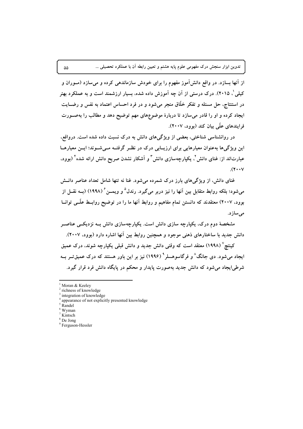از انها بسازد. در واقع دانشlموز مفهوم را برای خودش سازماندهی کرده و میسازد (مــوران و کیلی <sup>'</sup>، ۲۰۱۵). درک درستی از آن چه آموزش داده شده، بسیار ارزشمند است و به عملکرد بهتر در استنتاج، حل مسئله و تفکر خلاق منجر میشود و در فرد احساس اعتماد به نفس و رضــایت ایجاد کرده و او را قادر میسازد تا دربارهٔ موضوعهای مهم توضیح دهد و مطالب را بهصــورت **.(2007 "/) 1^ 6B/ %w9: .1 '**

در روانشناسی شناختی، بعضی از ویژگیهای دانش به درک نسبت داده شده است. درواقع، این ویژگیها بهعنوان معیارهایی برای ارزیــابی درک در نظــر گرفتــه مــیشــوند؛ ایــن معیارهــا عبارتاند از: غنای دانش<sup>۲</sup>، یکپارچهسازی دانش <sup>۳</sup> و آشکار نشدن صریح دانش ارائه شده ٔ (بوود،  $\mathbf{y} \cdot \mathbf{y}$ 

غنای دانش، از ویژگیهای بارز درک شمرده میشود. غنا نه تنها شامل تعداد عناصر دانــش میشود؛ بلکه روابط متقابل بین آنها را نیز دربر میگیرد. رندل° و ویمــن ً (۱۹۹۸) (بــه نقــل از **بوود، ۲۰۰۷) معتقدند که دانستن تمام مفاهیم و روابط انها ما را در توضیح روابــط علــی توانــا .2%**

مشخصهٔ دوم درک، یکپارچه سازی دانش است. یکپارچهسازی دانش بــه نزدیکــی عناصــر دانش جدید با ساختارهای ذهنی موجود و همچنین روابط بین آنها اشاره دارد (بوود، ۲۰۰۷).

کینتچ<sup>۷</sup> (۱۹۹۸) معتقد است که وقتی دانش جدید و دانش قبلی یکپارچه شوند، درک عمیق ایجاد میشود. دی جانگ^و فرگاسوهسلر<sup>۹</sup> (۱۹۹۶) نیز بر این باور هستند که درک عمیقتــر بــه شرطی!یجاد میشود که دانش جدید بهصورت پایدار و محکم در پایگاه دانش فرد قرار گیرد.

Moran & Keeley

<sup>2</sup> richness of knowledge

integration of knowledge

appearance of not explicitly presented knowledge

R<sub>andel</sub>

<sup>6</sup> Wyman

<sup>&</sup>lt;sup>7</sup> Kintsch

 $<sup>3</sup>$  De Jong</sup> <sup>9</sup> Ferguson-Hessler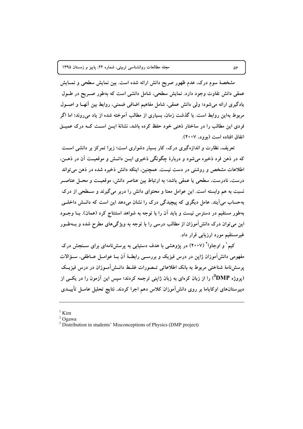مشخصهٔ سوم درک، عدم ظهور صریح دانش ارائه شده است. بین نمایش سطحی و نمــایش عمقی دانش تفاوت وجود دارد. نمایش سطحی، شامل دانشی است که بهطور صـریح در طــول یادگیری ارائه میشود؛ ولی دانش عمقی، شامل مفاهیم اضافی ضمنی، روابط بین آنهـا و اصــول مربوط بهاین روابط است. با گذشت زمان، بسیاری از مطالب آموخته شده از یاد میروند؛ اما اگر فردی این مطالب را در ساختار ذهنی خود حفظ کرده باشد، نشانهٔ ایــن اســت کــه درک عمیــق اتفاق افتاده است (بوود، ۲۰۰۷).

تعریف، نظارت و اندازهگیری درک، کار بسیار دشواری است؛ زیرا تمرکز بر دانشی است که در ذهن فرد ذخیره می شود و دربارهٔ چگونگی ذخیری ایــن دانــش و موقعیــت آن در ذهــن، اطلاعات مشخص و روشنی در دست نیست. همچنین، اینکه دانش ذخیره شده در ذهن می تواند درست، نادرست، سطحی یا عمقی باشد؛ به ارتباط بین عناصر دانش، موقعیــت و محــل عناصــر نسبت به هم وابسته است. این عوامل معنا و محتوای دانش را دربر میگیرند و سـطحی از درک بهحساب می آیند. عامل دیگری که پیچیدگی درک را نشان میدهد این است که دانــش داخلــی بهطور مستقیم در دسترس نیست و باید آن را با توجه به شواهد استنتاج کرد (همان). بــا وجــود این میتوان درک دانشآموزان از مطالب درسی را با توجه به ویژگیهای مطرح شده و بــهطــور غیرمستقیم مورد ارزیابی قرار داد.

کیم` و اوجاوا` (۲۰۰۷) در پژوهشی با هدف دستیابی به پرسشنامهای برای سـنجش درک مفهومی دانشآموزان ژاپن در درس فیزیک و بررسـی رابطـهٔ آن بــا عوامــل عــاطفی، ســؤالات پرسشنامهٔ شناختی مربوط به بانک اطلاعاتی تــصورات غلــط دانــش آمــوزان در درس فیزیــک (یروژه DMP°) را از زبان کرمای به زبان ژاپنی ترجمه کردند؛ سپس این آزمون را در یکسی از دبیرستانهای اوکایاما بر روی دانش آموزان کلاس دهم اجرا کردند. نتایج تحلیل عامــل تأییــدی

 $1$  Kim

 $2$  Ogawa

<sup>&</sup>lt;sup>3</sup> Distribution in students' Misconceptions of Physics (DMP project)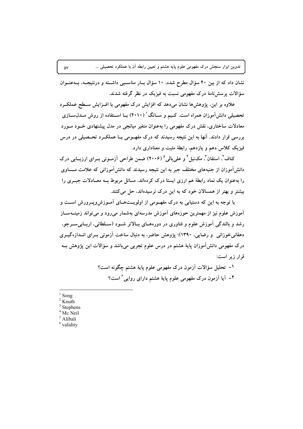نشان داد که از بین ۴۰ سؤال مطرح شده، ۱۰ سؤال بار مناسبی داشته و درنتیجه، به عنوان سؤالات پرسشنامهٔ درک مفهومی نسبت به فیزیک در نظر گرفته شدند.

علاوه بر این، پژوهشها نشان میدهد که افزایش درک مفهومی با افــزایش ســطح عملکــرد تحصیلی دانشآموزان همراه است. کـیم و ســانگ' (۲۰۱۰) بــا اســتفاده از روش مــدل ســازی معادلات ساختاری، نقش درک مفهومی را بهعنوان متغیر میانجی در مدل پیشنهادی خسود مسورد بررسی قرار دادند. آنها به این نتیجه رسیدند که درک مفهـومی بــا عملکــرد تحــصیلی در درس فیزیک کلاس دهم و یازدهم، رابطهٔ مثبت و معناداری دارد.

کناف'، استفان''، مک $نیل ٔ و علی بالی ° (۲۰۰۶) ضمن طراحی آزمـونی بــرای ارزیــابی درک$ دانشآموزان از جنبههای مختلف جبر به این نتیجه رسیدند که دانشآموزانی که علامت مــساوی را بهعنوان یک نماد رابطهٔ هم ارزی ایستا درک کردهاند، مسائل مربوط بــه معــادلات جبــری را بیشتر و بهتر از همسالان خود که به این درک نرسیدهاند، حل می کنند.

با توجه به این که دستیابی به درک مفهـومی از اولویــتهـای آمـوزش۵ویــرورش اســت و آموزش علوم نیز از مهمترین حوزههای آموزش مدرسهای بهشمار میرود و می تواند زمینــهســاز رشد و بالندگی آموزش علوم و فناوری در دورههـای بــالاتر شــود (ســلطانی، اربــابی۳سـرجو، دهقانی خوزانی و رضایی، ۱۳۹۰)؛ پژوهش حاضر، به دنبال ساخت آزمونی بــرای انــدازهگیــری درک مفهومی دانش آموزان پایهٔ هشتم در درس علوم تجربی میباشد و سؤالات این پژوهش بــه قرار زیر است:

> ١- تحليل سؤالات آزمون درک مفهومي علوم پايهٔ هشتم چگونه است؟ ۲- آیا آزمون درک مفهومی علوم پایهٔ هشتم دارای روایی ٔ است؟

- Song
- $2$  Knuth
- $3$  Stephens
- <sup>4</sup> Mc Neil
- <sup>5</sup> Alibali  $6$  validity

 $\Delta V$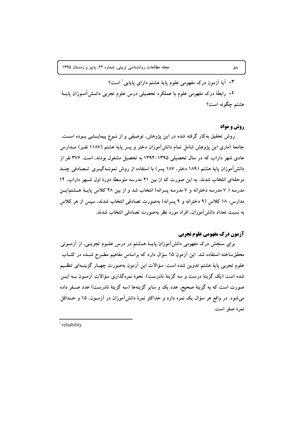۳- آیا آزمون درک مفهومی علوم پایهٔ هشتم دارای پایایی ٰ است؟ ٤- رابطهٔ درک مفهومی علوم با عملکرد تحصیلی درس علوم تجربی دانــشآمــوزان پایــهٔ هشتم چگونه است؟

#### **روش و مواد**

روش تحقیق بهکار گرفته شده در این پژوهش، توصیفی و از نــوع پیمایـــشی بــوده اســـت. جامعهٔ آماری این پژوهش شامل تمام دانش[موزان دختر و پسر پایهٔ هشتم (۱۱۸۷ نفـر) مــدارس عادی شهر داراب که در سال تحصیلی ۱۳۹۵–۱۳۹۴ به تحصیل مشغول بودند، است. ۳۷۶ نفر از دانشآموزان پایهٔ هشتم (۱۸۹ دختر، ۱۸۷ پسر) با استفاده از روش نمونــهگیــری تــصادفی چنــد مرحلهای انتخاب شدند. به این صورت که از بین ۲۱ مدرسه متوسطهٔ دورهٔ اول شـهر داراب، ۱۴ مدرسه ( ۷ مدرسه دخترانه و ۷ مدرسه پسرانه) انتخاب شد و از بین ۲۸ کلاس پایـهٔ هــشتمایــن مدارس، ۱۸ کلاس (۹ دخترانه و ۹ پسرانه) بهصورت تصادفی انتخاب شدند، سپس از هر کلاس به نسبت تعداد دانش[موزان افراد مورد نظر بهصورت تصادفي انتخاب شدند.

# **آزمون درک مفهومی علوم تجربی**

برای سنجش درک مفهومی دانشآموزان پایـهٔ هــشتم در درس علــوم تجربــی، از آزمــونی محققساخته استفاده شد. این آزمون ۱۵ سؤال دارد که براساس مفاهیم مطـرح شــده در کتــاب علوم تجربي پايهٔ هشتم تدوين شده است. سؤالات اين اَزمون بهصورت چهـار گزينــهاي تنظــيم شده است (یک گزینهٔ درست و سه گزینهٔ نادرست). نحوهٔ نمرهگذاری سؤالات آزمــون بــه ایــن صورت است که به گزینهٔ صحیح، عدد یک و سایر گزینهها (سه گزینهٔ نادرست) عدد صـفر داده مي شود. در واقع هر سؤال يک نمره دارد و حداکثر نمرهٔ دانش آموزان در آزمــوِن، ۱۵ و حــداقل نمرة صفر است.

 $\Delta \Lambda$ 

 $1$  reliability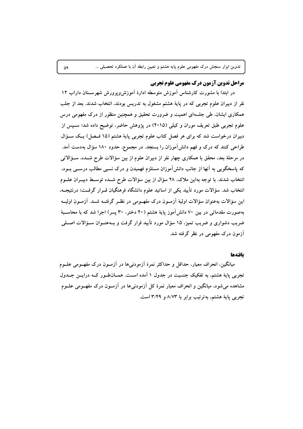### مراحل تدوین آزمون درک مفهومی علوم تجربی

در ابتدا با مشورت کارشناس آموزش متوسطه ادارهٔ آموزش ویرورش شهرســتان داراب ۱۲ نفر از دبیران علوم تجربی که در پایهٔ هشتم مشغول به تدریس بودند، انتخاب شدند. بعد از جلب همکاری ایشان، طی جلسهای اهمیت و ضرورت تحقیق و همچنین منظور از درک مفهومی درس علوم تجربی طبق تعریف موران و کیلی (۲۰۱۵) در پژوهش حاضر، توضیح داده شد؛ سـیس از دبیران درخواست شد که برای هر فصل کتاب علوم تجربی پایهٔ هشتم (۱۵ فـصل) یـک ســؤال طراحی کنند که درک و فهم دانشآموزان را بسنجد. در مجموع، حدود ۱۸۰ سؤال بهدست آمد. در مرحلهٔ بعد، محقق با همکاری چهار نفر از دبیران علوم از بین سؤالات طرح شــده، ســؤالاتی که پاسخگویی به آنها از جانب دانشآموزان مستلزم فهمیدن و درک نسبی مطالب درســی بــود، انتخاب شدند. با توجه بهاین ملاک، ۲۸ سؤال از بین سؤالات طرح شـده توسـط دبیــران علــوم انتخاب شد. سؤالات مورد تأييد يكي از اساتيد علوم دانشگاه فرهنگيان قــرار گرفــت؛ درنتيجــه، این سؤالات بهعنوان سؤالات اولیهٔ آزمــون درک مفهــومی در نظــر گرفتــه شــد. آزمــون اولیــه بهصورت مقدماتی در بین ۷۰ دانش آموز پایهٔ هشتم (۴۰ دختر، ۳۰ پسر) اجرا شد که با محاسـبهٔ ضریب دشواری و ضریب تمیز، ۱۵ سؤال مورد تأیید قرار گرفت و بــهعنــوان ســؤالات اصـــلی آزمون درک مفهومی در نظر گرفته شد.

#### بافتهها

میانگین، انحراف معیار، حداقل و حداکثر نمرهٔ آزمودنی۵ا در آزمــون درک مفهــومی علــوم تجربی پایهٔ هشتم، به تفکیک جنسیت در جدول ۱ آمده است. همــان طــور کــه درایــن جــدول مشاهده میشود، میانگین و انحراف معیار نمرهٔ کل اَزمودنیها در اَزمــون درک مفهــومی علــوم تجربی پایهٔ هشتم، بهترتیب برابر با ۸/۷۳ و ۳/۴۹ است.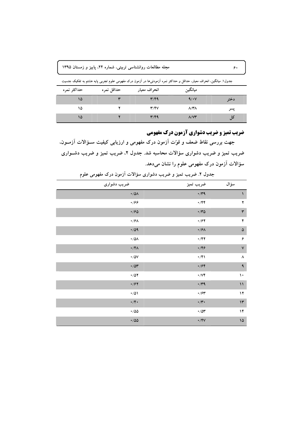| مجله مطالعات روانشناسی تربیتی، شماره ۲۴، پاییز و زمستان ۱۳۹۵ |  |
|--------------------------------------------------------------|--|
|--------------------------------------------------------------|--|

جدول۱. میانگین، انحراف معیار، حداقل و حداکثر نمره ازمودنی۵ در ازمون درک مفهومی علوم تجربی پایه هشتم به تفکیک جنسیت

| حداكثر نمره | حداقل نمره | انحراف معيار            | ميانگين                   |      |
|-------------|------------|-------------------------|---------------------------|------|
| ۱۵          |            | $\mathbf{r}/\mathbf{r}$ | 9/1                       | دختر |
| ۱۵          |            | Y/Y                     | $\lambda/\Upsilon\Lambda$ | پسر  |
| ۱۵          |            | $\mathbf{r}/\mathbf{r}$ | $\Lambda/V$ ۳             | دل   |

**ضریب تمیز و ضریب دشواری آزمون درک مفهومی** 

جهت بررسی نقاط ضعف و قوّت ازمون درک مفهومی و ارزیابی کیفیت ســؤالات ازمــون. ضریب تمیز و ضریب دشواری سؤالات محاسبه شد. جدول ۲، ضریب تمیز و ضریب دشــواری **.% 6=) 89: %45 3 6\* Za]2**

| ضريب دشوارى                                     | ضريب تميز                                                        | سؤال                 |
|-------------------------------------------------|------------------------------------------------------------------|----------------------|
| $\boldsymbol{\cdot}$ /0<br>A                    | $\cdot$ /۳۹                                                      | $\sqrt{2}$           |
| $\cdot$ 199                                     | $\cdot$ /۴۴                                                      | $\blacktriangledown$ |
| $\cdot$ 190                                     | $\boldsymbol{\cdot}$ / $\boldsymbol{\tau}$ $\boldsymbol{\Delta}$ | $\mathbf{\breve{r}}$ |
| $\boldsymbol{\cdot}$ / $\boldsymbol{\varphi}$ / | $\cdot$ /۶۲                                                      | ۴                    |
| $\cdot$ /09                                     | $\cdot$ /۶۸                                                      | $\pmb{\Delta}$       |
| $\boldsymbol{\cdot}$ /0<br>A                    | $\cdot$ /۴۲                                                      | ۶                    |
| $\cdot$ /۴۸                                     | $\cdot$ /۴۶                                                      | $\check{\mathsf{v}}$ |
| $\boldsymbol{\cdot}$ / $\Delta\mathsf{V}$       | $\cdot$ /۴۱                                                      | $\pmb{\wedge}$       |
| $\cdot$ / $\circ$                               | $\cdot$ /۶۴                                                      | $\spadesuit$         |
| $\boldsymbol{\cdot}$ /07                        | $\cdot$ / $\vee \check{\ }$                                      | ١٠                   |
| $\cdot$ /۶۲                                     | $\cdot$ /۳۹                                                      | $\mathcal{L}$        |
| $\cdot/\Delta$                                  | $\cdot$ /۶۳                                                      | $\mathbf{y}$         |
| $\cdot$ /۴ $\cdot$                              | $\bullet/\mathbf{Y} \bullet$                                     | $\mathcal{W}$        |
| $\boldsymbol{\cdot}$ /00                        | $\cdot$ / $\circ$                                                | ۱۴                   |
| $\cdot$ /00                                     | $\cdot$ /۴۷                                                      | $\sqrt{2}$           |

جدول ۲. ضریب تمیز و ضریب دشواری سؤالات ازمون درک مفهومی علوم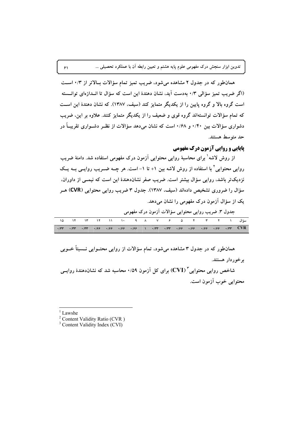همانطور که در جدول ۲ مشاهده میشود، ضریب تمیز تمام سؤالات بالاتر از ۰/۳ است (اگر ضریب تمیز سؤالی ۰/۳ بهدست آید، نشان دهندهٔ این است که سؤال تا انــدازهای توانــسته است گروه بالا و گروه پایین را از یکدیگر متمایز کند (سیف، ۱۳۸۷). که نشان دهندهٔ این است که تمام سؤالات توانستهاند گروه قوی و ضعیف را از یکدیگر متمایز کنند. علاوه بر این، ضریب دشواری سؤالات بین ۰/۴۰ و ۰/۶۸ است که نشان میدهد سؤالات از نظـر دشــواری تقریبــاً در حد مته سط هستند.

# **یاپایی و روایی آزمون درک مفهومی**

از روش لاشه ٰ برای محاسبهٔ روایی محتوایی آزمون درک مفهومی استفاده شد. دامنهٔ ضریب روایی محتوایی ٔ با استفاده از روش لاشه بین ۱+ تا ۱– است. هر چــه ضــریب روایــی بــه یــک نزدیکتر باشد، روایی سؤال بیشتر است. ضریب صفر نشاندهندهٔ این است که نیمــی از داوران. سؤال را ضروری تشخیص دادهاند (سیف، ۱۳۸۷). جدول ۳ ضریب روایی محتوایی (CVR) هـر یک از سؤال آزمون درک مفهومی را نشان می دهد.

جدول ٣. ضريب روايي محتوايي سؤالات آزمون درک مفهومي

همانطور که در جدول ۳ مشاهده میشود، تمام سؤالات از روایی محتــوایی نــسبتاً خــوبی برخوردار هستند.

شاخص روایی محتوایی " (CVI) برای کل آزمون ۰/۵۹ محاسبه شد که نشان(دهندهٔ روایــی محتوابي خوب آزمون است.

Lawshe

<sup>2</sup> Content Validity Ratio (CVR)

<sup>3</sup> Content Validity Index (CVI)

 $\mathcal{F}$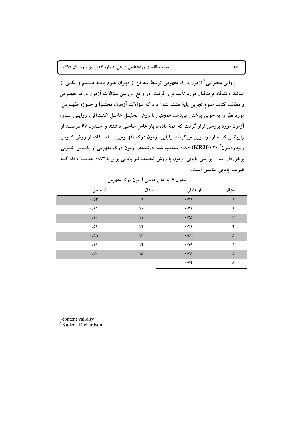روایی محتوایی ٔ آزمون درک مفهومی توسط سه تن از دبیران علوم پایــهٔ هــشتم و یکــی از اساتید دانشگاه فرهنگیان مورد تأیید قرار گرفت. در واقع، بررسی سؤالات آزمون درک مفهــومی و مطالب كتاب علوم تجربي پايهٔ هشتم نشان داد كه سؤالات آزمون. محتــوا و حــوزهٔ مفهــومی مورد نظر را به خوبی پوشش میدهد. همچنین با روش تحلیـل عامـل اکتـشافی، روایـی سـازهٔ آزمون مورد بررسی قرار گرفت که همهٔ مادهها بار عامل مناسبی داشتند و حــدود ۶۷ درصــد از واریانس کل سازه را تبیین میکردند. پایایی آزمون درک مفهـومی بــا اســتفاده از روش کــودر ریچاردسون<sup>۲</sup> ۲۰ (KR20) ۰/۸۶ محاسبه شد؛ درنتیجه، آزمون درک مفهومی از پایــایی خــوبی برخوردار است. بررسی پایایی آزمون با روش تنصیف نیز پایایی برابر با ۰/۸۳ بهدسـت داد کــه ضریب پایایی مناسبی است.

| بار عاملی                 | سؤال          | بار عاملی   | سؤال           |
|---------------------------|---------------|-------------|----------------|
| $\cdot/\Delta r$          | ٩             | $\cdot$ /۳۱ |                |
| $\cdot$ /۶۱               | ١٠            | $\cdot$ /۳۱ | ۲              |
| $\cdot/\mathfrak{f}\cdot$ | $\mathcal{L}$ | $\cdot$ /۴۵ | ٣              |
| .704                      | ١٢            | $\cdot$ /۴۱ | ۴              |
| $\cdot$ /00               | $\mathcal{N}$ | $\cdot$ /0۳ | $\pmb{\Delta}$ |
| $\cdot$ /۴۱               | ١۴            | $\cdot$ /۲۹ | ۶              |
| $\cdot/\tau$ .            | $\sqrt{2}$    | $\cdot$ /۳۸ | $\mathsf{v}$   |
|                           |               | $\cdot$ /٣۴ | ٨              |

جدول ۶. بارهای عاملی آزمون درک مفهومی

content validity

 $2$  Kuder - Richardson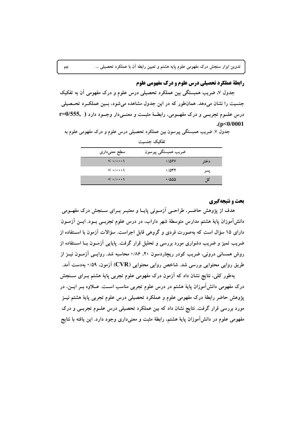### **رابطة عملكرد تحصيلي درس علوم و درك مفهومي علوم**

جدول ۷، ضریب همبستگی بین عملکرد تحصیلی درس علوم و درک مفهومی آن به تفکیک جنسیت را نشان می دهد. همان طور که در این جدول مشاهده می شود، بسین عملک رد تحـصیلی درس علـوم تجربــي و درک مفهــومي، رابطــهٔ مثبــت و معنــي دار وجــود دارد ( .r=0/555  $(p<0/0001$ 

 $\gamma$ 

جدول ٧. ضریب همبستگی پیرسون بین عملکرد تحصیلی درس علوم و درک مفهومی علوم به تفكيك جنسيت

| سطح معنیداری                                | ضريب همبستگى پيرسون |      |
|---------------------------------------------|---------------------|------|
| $\langle \cdot   \cdot \cdot \cdot \rangle$ | $\cdot$ /06V        |      |
| $\langle \cdot   \cdot \cdot \cdot \rangle$ | .7047               | پسر  |
| $\langle \cdot   \cdot \cdot \cdot \rangle$ | $\cdot$ /000        | کا ا |

**بحث و نتیجهگیری** 

هدف از پژوهش حاضـر، طراحـی آزمـونی پایـا و معتبـر بـرای سـنجش درک مفهـومی دانشآموزان پایهٔ هشتم مدارس متوسطهٔ شهر داراب، در درس علوم تجربــی بــود. ایــن آزمــون دارای ۱۵ سؤال است که بهصورت فردی و گروهی قابل اجراست. سؤالات آزمون با استفاده از ضریب تمیز و ضریب دشواری مورد بررسی و تحلیل قرار گرفت. پایایی آزمــون بــا اســتفاده از روش همسانی درونی، ضریب کودر ریچاردسون ۲۰، ۱۸۶• محاسبه شد. روایــی آزمــون نیــز از طریق روایی محتوایی بررسی شد. شاخص روایی محتوایی (CVR) آزمون. ۰/۵۹ بهدست آمد.

بهطور کلی، نتایج نشان داد که آزمون درک مفهومی علوم تجربی پایهٔ هشتم بـرای ســنجش درک مفهومی دانش آموزان پایهٔ هشتم در درس علوم تجربی مناسب اســت. عـــلاوه بــر ایـــن، در پژوهش حاضر رابطهٔ درک مفهومی علوم و عملکرد تحصیلی درس علوم تجربی پایهٔ هشتم نیــز مورد بررسی قرار گرفت. نتایج نشان داد که بین عملکرد تحصیلی درس علــوم تجربــی و درک مفهومی علوم در دانش[موزان پایهٔ هشتم، رابطهٔ مثبت و معنیداری وجود دارد. این یافته با نتایج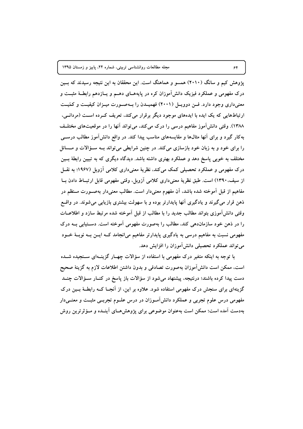پژوهش کیم و سانگ (۲۰۱۰) همسو و هماهنگ است. این محققان به این نتیجه رسیدند که بـین درک مفهومی و عملکرد فیزیک دانشآموزان کره در پایههــای دهــم و یــازدهم رابطــهٔ مثبــت و معنیداری وجود دارد. فـن دوویـل (۲۰۰۱) فهمیـدن را بـهصـورت میـزان کیفیـت و کمّیـت ارتباطهایی که یک ایده با ایدههای موجود دیگر برقرار میکند، تعریف کـرده اسـت (مردانـی، ۱۳۸۸). وقتی دانش آموز مفاهیم درسی را درک می کند، می تواند آنها را در موقعیتهای مختلـف به کار گیرد و برای آنها مثالها و مقایسههای مناسب پیدا کند. در واقع دانش آموز مطالب درســی را برای خود و به زبان خود بازسازی میکند. در چنین شرایطی می تواند بــه ســؤالات و مــسائل مختلف به خوبی پاسخ دهد و عملکرد بهتری داشته باشد. دیدگاه دیگری که به تبیین رابطهٔ بــین درک مفهومی و عملکرد تحصیلی کمک میکند، نظریهٔ معنیداری کلامی اَزوبل (۱۹۶۷؛ به نقـــل از سیف،۱۳۹۰) است. طبق نظریهٔ معنیداری کلامی آزوبل، وقتی مفهومی قابل ارتبــاط دادن بــا مفاهیم از قبل اَموخته شده باشد، اَن مفهوم معنیدار است. مطالب معنیدار بهصــورت مــنظم در ذهن قرار می گیرند و یادگیری آنها پایدارتر بوده و با سهولت بیشتری بازیابی میشوند. در واقسع وقتی دانش آموزی بتواند مطالب جدید را با مطالب از قبل آموخته شده مرتبط سازد و اطلاعــات را در ذهن خود سازماندهی کند، مطالب را بهصورت مفهومی آموخته است. دســتیابی بــه درک مفهومی نسبت به مفاهیم درسی به یادگیری پایدارتر مفاهیم میانجامد کــه ایــن بــه نوبــهٔ خــود می تواند عملکرد تحصیلی دانش آموزان را افزایش دهد.

با توجه به اینکه متغیر درک مفهومی با استفاده از سؤالات چهـار گزینــهای ســنجیده شــده است، ممکن است دانشآموزان بهصورت تصادفی و بدون داشتن اطلاعات لازم به گزینهٔ صحیح دست پیدا کرده باشند؛ درنتیجه، پیشنهاد می شود از سؤالات باز پاسخ در کنـار سـؤالات چنــد گزینهای برای سنجش درک مفهومی استفاده شود. علاوه بر این، از آنجـا کــه رابطــهٔ بــین درک مفهومی درس علوم تجربی و عملکرد دانشآمـوزان در درس علــوم تجربــی مثبــت و معنــیدار بهدست آمده است؛ ممکن است بهعنوان موضوعی برای پژوهشهـای آینــده و مــؤثرترین روش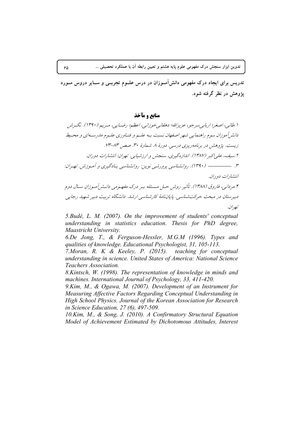تدریس برای ایجاد درک مفهومی دانشlمــوزان در درس علــوم تجربــی و ســایر دروس مــورد **پژوهش در نظر گرفته شود**.

**منابع و مآخذ** 

ا .طانبي، اصغر؛ اربابي سرجو، عزيزالله؛ دهقانبي خوزانبي، اعظم؛ رضـايبي، مـريم (١٣٩٠). نگـرش دانشرآموزان سوم راهنمایی شهر اصفهان نسبت بـه علـم و فنـاوری علـوم مادرسـهای و محـیط زيست. پژوهش در برنامهريزي درسي. دورهٔ ۸. شمارهٔ ۳۰. صص ۸۳–۱۲۳. ۲ .سيف، علي[كبر (۱۳۸۷). اندازهگيري، سنجش و ارزشيابي. تهران: انتشارات دوران. :2<N .7.29 !-2 - :Q = <sup>F</sup> - .(1390) .3 انتشارات دوران.

۴.مردانی، فاروق (۱۳۸۸). تأثیر روش حـل مـسئله بـر درک مفهـومی دانـشرآمـوزان سـال دوم دبیرستان در مبحث حرکتشناسی. پایاننامهٔ کارشناسی ارشد. دانشگاه تربیت دبیر شهید رجایی تصران.

*5.Budé, L. M. (2007). On the improvement of students' conceptual understanding in statistics education. Thesis for PhD degree, Maastricht University.* 

*6.De Jong, T., & Ferguson-Hessler, M.G.M (1996). Types and qualities of knowledge. Educational Psychologist, 31, 105-113.* 

*7.Moran, R. K & Keeley, P. (2015). teaching for conceptual understanding in science. United States of America: National Science Teachers Association.* 

*8.Kintsch, W. (1998). The representation of knowledge in minds and machines. International Journal of Psychology, 33, 411-420.* 

*9.Kim, M., & Ogawa, M. (2007). Development of an Instrument for Measuring Affective Factors Regarding Conceptual Understanding in High School Physics. Journal of the Korean Association for Research in Science Education, 27 (6), 497-509.* 

*10.Kim, M., & Song, J. (2010). A Confirmatory Structural Equation Model of Achievement Estimated by Dichotomous Attitudes, Interest*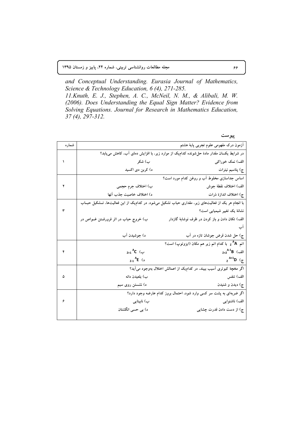مجله مطالعات روانشناسی تربیتی، شماره ۲۴، پاییز و زمستان ۱۳۹۵

and Conceptual Understanding. Eurasia Journal of Mathematics, Science & Technology Education, 6 (4), 271-285. 11. Knuth, E. J., Stephen, A. C., McNeil, N. M., & Alibali, M. W. (2006). Does Understanding the Equal Sign Matter? Evidence from Solving Equations. Journal for Research in Mathematics Education,  $37(4), 297-312.$ 

پيوست

| شماره |                                         | آزمون درک مفهومی علوم تجربی پایهٔ هشتم                                                               |  |  |  |  |
|-------|-----------------------------------------|------------------------------------------------------------------------------------------------------|--|--|--|--|
|       |                                         | در شرایط یکسان مقدار مادهٔ حلشونده کدام،یک از موارد زیر، با افزایش دمای آب، کاهش می،یابد؟            |  |  |  |  |
|       | ب) شکر                                  | الف) نمک خوراکی                                                                                      |  |  |  |  |
|       | د) کرېن دی اکسید                        | ج) پتاسیم نیترات                                                                                     |  |  |  |  |
|       |                                         | اساس جداسازی مخلوط آب و روغن کدام مورد است؟                                                          |  |  |  |  |
|       | ب) اختلاف جرم حجمی                      | الف) اختلاف نقطهٔ جوش                                                                                |  |  |  |  |
|       | د) اختلاف خاصيت جذب آنها                | ج) اختلاف اندازهٔ ذرات                                                                               |  |  |  |  |
|       |                                         | با انجام هر یک از فعالیتهای زیر، مقداری حباب تشکیل میشود. در کدام،یک از این فعالیتها، تــشکیل حبــاب |  |  |  |  |
| ٣     |                                         | نشانهٔ یک تغییر شیمیایی است؟                                                                         |  |  |  |  |
|       | ب) خروج حباب در اثر فرورفــتن غــواص در | الف) تکان دادن و باز کردن در ظرف نوشابهٔ گازدار                                                      |  |  |  |  |
|       |                                         | آپ                                                                                                   |  |  |  |  |
|       | د) جوشيدن آب                            | ج) حل شدن قرض جوشان تازه در آب                                                                       |  |  |  |  |
|       |                                         | اتم  z <sup>A</sup> A  با کدام اتم زیر هم مکان (ایزوتوپ) است؟                                        |  |  |  |  |
|       | $_{Z+1}$ <sup>A</sup> C (ب              | الف) $B^{A-1}B$                                                                                      |  |  |  |  |
|       | $Z-1$ <sup>A</sup> E (                  | $2^{A+1}D$ ( $\zeta$                                                                                 |  |  |  |  |
|       |                                         | اگر مخچهٔ کبوتری آسیب ببیند، در کدام2یک از اعمالش اختلال بهوجود میآید؟                               |  |  |  |  |
|       | ب) بلعیدن دانه                          | الف) تنفس                                                                                            |  |  |  |  |
|       | د) نشستن روی سیم                        | ج) ديدن و شنيدن                                                                                      |  |  |  |  |
|       |                                         | اگر ضربهای به پشت سر کسی وارد شود، احتمال بروز کدام عارضه وجود دارد؟                                 |  |  |  |  |
| ۶     | ب) نابینایی                             | الف) ناشنوایی                                                                                        |  |  |  |  |
|       |                                         |                                                                                                      |  |  |  |  |
|       | د) بی حسی انگشتان                       | ج) از دست دادن قدرت چشایی                                                                            |  |  |  |  |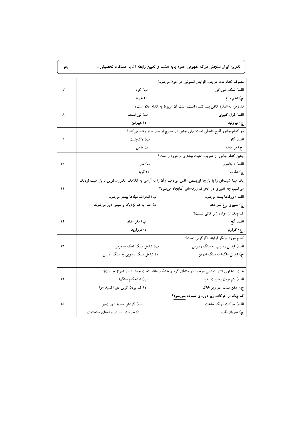ر<br>تدوین ابزار سنجش درک مفهومی علوم پایه هشتم و تعیین رابطه آن با عملکرد تحصیلی ...

 $\gamma$ 

|    |                                                                                                         | مصرف کدام ماده موجب افزایش انسولین در خون می شود؟                                 |
|----|---------------------------------------------------------------------------------------------------------|-----------------------------------------------------------------------------------|
| ٧  | ب) کره                                                                                                  | الف) نمک خوراکی                                                                   |
|    | د) خرما                                                                                                 | ج) تخم مرغ                                                                        |
|    |                                                                                                         | قد زهرا به اندازهٔ کافی بلند نشده است، علت آن مربوط به کدام غدّه است؟             |
|    | ب) لوزالمعده                                                                                            | الف) فوق كليوى                                                                    |
|    | د) هيپوفيز                                                                                              | ج) تيروئيد                                                                        |
|    |                                                                                                         | در کدام جانور لقاح داخلی است؛ ولی جنین در خارج از بدن مادر رشد میکند؟             |
|    | ب) لاکپشت                                                                                               | الف) گاو                                                                          |
|    | د) ماهی                                                                                                 | ج) قورباغه                                                                        |
|    |                                                                                                         | جنین کدام جانور از ضریب امنیت بیشتری برخوردار است؟                                |
| ١. | ب) مار                                                                                                  | الف) دایناسور                                                                     |
|    | د) گربه                                                                                                 | ج) عقاب                                                                           |
|    | یک میلهٔ شیشهای را با پارچهٔ ابریشمی مالش میدهیم وآن را به آرامی به کلاهک الکتروسکوپی با بار مثبت نزدیک |                                                                                   |
| ۱۱ |                                                                                                         | می کنیم، چه تغییری در انحراف ورقههای آنایجاد می شود؟                              |
|    | ب) انحراف میلهها بیشتر می شود                                                                           | الف ) ورقهها بسته می شود                                                          |
|    | د) ابتدا به هم نزدیک و سپس دور میشوند                                                                   | ج) تغییری رخ نمیدهد                                                               |
|    |                                                                                                         | کدامیک از موارد زیر کانی نیست؟                                                    |
| ۱۲ | ب) مغز مداد                                                                                             | الف) گچ                                                                           |
|    | د) مروارید                                                                                              | ج) کوارتز                                                                         |
|    |                                                                                                         | کدام مورد بیانگر فرایند دگرگونی است؟                                              |
| ۱۳ | ب) تبدیل سنگ آهک به مرمر                                                                                | الف) تبدیل رسوب به سنگ رسوبی                                                      |
|    | د) تبدیل سنگ رسوبی به سنگ آذرین                                                                         | ج) تبدیل ماگما به سنگ آذرین                                                       |
|    |                                                                                                         |                                                                                   |
|    |                                                                                                         | علت پایداری آثار باستانی موجود در مناطق گرم و خشک، مانند تخت جمشید در شیراز چیست؟ |
| ۱۴ | ب) استحکام سنگها                                                                                        | الف) کم بودن رطوبت ہوا                                                            |
|    | د) کم بودن کربن دی اکسید هوا                                                                            | ج) دفن شدن در زیر خاک                                                             |
|    |                                                                                                         | کدامیک از حرکات زیر دورهای شمرده نمی شود؟                                         |
| ۱۵ | ب) گردش ماه به دور زمین                                                                                 | الف) حركت أونگ ساعت                                                               |
|    | د) حرکت آب در لولههای ساختمان                                                                           | ج) ضربان قلب                                                                      |